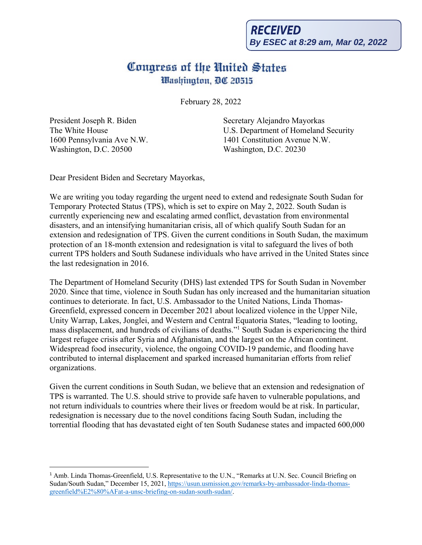## Congress of the United States Washington, DC 20515

February 28, 2022

President Joseph R. Biden The White House 1600 Pennsylvania Ave N.W. Washington, D.C. 20500

Secretary Alejandro Mayorkas U.S. Department of Homeland Security 1401 Constitution Avenue N.W. Washington, D.C. 20230

Dear President Biden and Secretary Mayorkas,

We are writing you today regarding the urgent need to extend and redesignate South Sudan for Temporary Protected Status (TPS), which is set to expire on May 2, 2022. South Sudan is currently experiencing new and escalating armed conflict, devastation from environmental disasters, and an intensifying humanitarian crisis, all of which qualify South Sudan for an extension and redesignation of TPS. Given the current conditions in South Sudan, the maximum protection of an 18-month extension and redesignation is vital to safeguard the lives of both current TPS holders and South Sudanese individuals who have arrived in the United States since the last redesignation in 2016.

The Department of Homeland Security (DHS) last extended TPS for South Sudan in November 2020. Since that time, violence in South Sudan has only increased and the humanitarian situation continues to deteriorate. In fact, U.S. Ambassador to the United Nations, Linda Thomas-Greenfield, expressed concern in December 2021 about localized violence in the Upper Nile, Unity Warrap, Lakes, Jonglei, and Western and Central Equatoria States, "leading to looting, mass displacement, and hundreds of civilians of deaths."1 South Sudan is experiencing the third largest refugee crisis after Syria and Afghanistan, and the largest on the African continent. Widespread food insecurity, violence, the ongoing COVID-19 pandemic, and flooding have contributed to internal displacement and sparked increased humanitarian efforts from relief organizations.

Given the current conditions in South Sudan, we believe that an extension and redesignation of TPS is warranted. The U.S. should strive to provide safe haven to vulnerable populations, and not return individuals to countries where their lives or freedom would be at risk. In particular, redesignation is necessary due to the novel conditions facing South Sudan, including the torrential flooding that has devastated eight of ten South Sudanese states and impacted 600,000

<sup>&</sup>lt;sup>1</sup> Amb. Linda Thomas-Greenfield, U.S. Representative to the U.N., "Remarks at U.N. Sec. Council Briefing on Sudan/South Sudan," December 15, 2021, https://usun.usmission.gov/remarks-by-ambassador-linda-thomasgreenfield%E2%80%AFat-a-unsc-briefing-on-sudan-south-sudan/.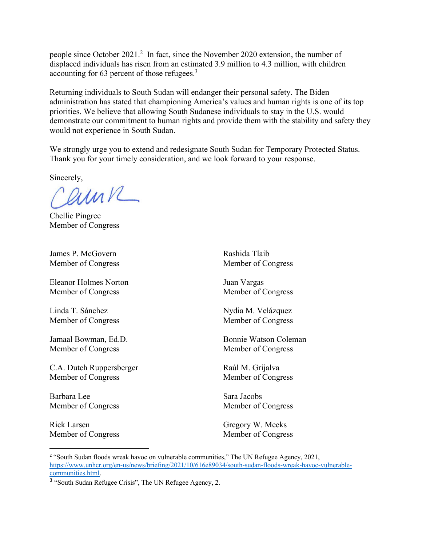people since October 2021.2 In fact, since the November 2020 extension, the number of displaced individuals has risen from an estimated 3.9 million to 4.3 million, with children accounting for 63 percent of those refugees.3

Returning individuals to South Sudan will endanger their personal safety. The Biden administration has stated that championing America's values and human rights is one of its top priorities. We believe that allowing South Sudanese individuals to stay in the U.S. would demonstrate our commitment to human rights and provide them with the stability and safety they would not experience in South Sudan.

We strongly urge you to extend and redesignate South Sudan for Temporary Protected Status. Thank you for your timely consideration, and we look forward to your response.

Sincerely,

Carne

Chellie Pingree Member of Congress

James P. McGovern Member of Congress

Eleanor Holmes Norton Member of Congress

Linda T. Sánchez Member of Congress

Jamaal Bowman, Ed.D. Member of Congress

C.A. Dutch Ruppersberger Member of Congress

Barbara Lee Member of Congress

Rick Larsen Member of Congress Rashida Tlaib Member of Congress

Juan Vargas Member of Congress

Nydia M. Velázquez Member of Congress

Bonnie Watson Coleman Member of Congress

Raúl M. Grijalva Member of Congress

Sara Jacobs Member of Congress

Gregory W. Meeks Member of Congress

<sup>&</sup>lt;sup>2</sup> "South Sudan floods wreak havoc on vulnerable communities," The UN Refugee Agency, 2021, https://www.unhcr.org/en-us/news/briefing/2021/10/616e89034/south-sudan-floods-wreak-havoc-vulnerablecommunities.html.

<sup>3</sup> "South Sudan Refugee Crisis", The UN Refugee Agency, 2.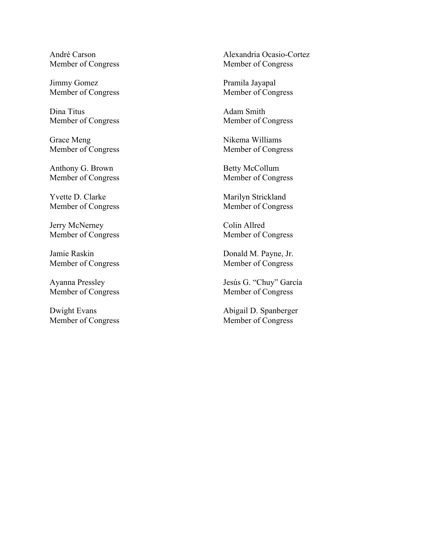André Carson Member of Congress

Jimmy Gomez Member of Congress

Dina Titus Member of Congress

Grace Meng Member of Congress

Anthony G. Brown Member of Congress

Yvette D. Clarke Member of Congress

Jerry McNerney Member of Congress

Jamie Raskin Member of Congress

Ayanna Pressley Member of Congress

Dwight Evans Member of Congress Alexandria Ocasio-Cortez Member of Congress

Pramila Jayapal Member of Congress

Adam Smith Member of Congress

Nikema Williams Member of Congress

Betty McCollum Member of Congress

Marilyn Strickland Member of Congress

Colin Allred Member of Congress

Donald M. Payne, Jr. Member of Congress

Jesús G. "Chuy" García Member of Congress

Abigail D. Spanberger Member of Congress